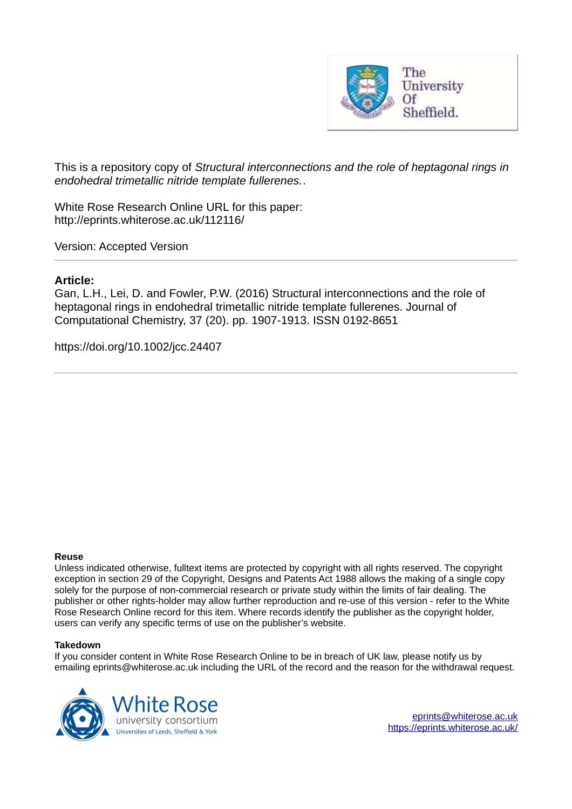

This is a repository copy of *Structural interconnections and the role of heptagonal rings in endohedral trimetallic nitride template fullerenes.*.

White Rose Research Online URL for this paper: http://eprints.whiterose.ac.uk/112116/

Version: Accepted Version

## **Article:**

Gan, L.H., Lei, D. and Fowler, P.W. (2016) Structural interconnections and the role of heptagonal rings in endohedral trimetallic nitride template fullerenes. Journal of Computational Chemistry, 37 (20). pp. 1907-1913. ISSN 0192-8651

https://doi.org/10.1002/jcc.24407

### **Reuse**

Unless indicated otherwise, fulltext items are protected by copyright with all rights reserved. The copyright exception in section 29 of the Copyright, Designs and Patents Act 1988 allows the making of a single copy solely for the purpose of non-commercial research or private study within the limits of fair dealing. The publisher or other rights-holder may allow further reproduction and re-use of this version - refer to the White Rose Research Online record for this item. Where records identify the publisher as the copyright holder, users can verify any specific terms of use on the publisher's website.

### **Takedown**

If you consider content in White Rose Research Online to be in breach of UK law, please notify us by emailing eprints@whiterose.ac.uk including the URL of the record and the reason for the withdrawal request.

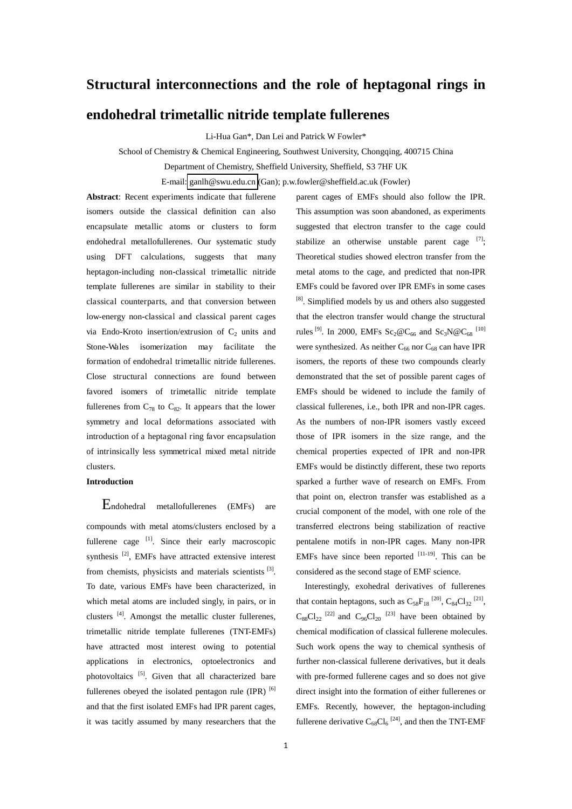# **Structural interconnections and the role of heptagonal rings in**

## **endohedral trimetallic nitride template fullerenes**

Li-Hua Gan\*, Dan Lei and Patrick W Fowler\*

School of Chemistry & Chemical Engineering, Southwest University, Chongqing, 400715 China

Department of Chemistry, Sheffield University, Sheffield, S3 7HF UK

E-mail: [ganlh@swu.edu.cn](mailto:ganlh@swu.edu.cn) (Gan); p.w.fowler@sheffield.ac.uk (Fowler)

**Abstract**: Recent experiments indicate that fullerene isomers outside the classical definition can also encapsulate metallic atoms or clusters to form endohedral metallofullerenes. Our systematic study using DFT calculations, suggests that many heptagon-including non-classical trimetallic nitride template fullerenes are similar in stability to their classical counterparts, and that conversion between low-energy non-classical and classical parent cages via Endo-Kroto insertion/extrusion of  $C_2$  units and Stone-Wales isomerization may facilitate the formation of endohedral trimetallic nitride fullerenes. Close structural connections are found between favored isomers of trimetallic nitride template fullerenes from  $C_{78}$  to  $C_{82}$ . It appears that the lower symmetry and local deformations associated with introduction of a heptagonal ring favor encapsulation of intrinsically less symmetrical mixed metal nitride clusters.

### **Introduction**

Endohedral metallofullerenes (EMFs) are compounds with metal atoms/clusters enclosed by a fullerene cage [1]. Since their early macroscopic synthesis<sup>[2]</sup>, EMFs have attracted extensive interest from chemists, physicists and materials scientists [3]. To date, various EMFs have been characterized, in which metal atoms are included singly, in pairs, or in clusters<sup>[4]</sup>. Amongst the metallic cluster fullerenes, trimetallic nitride template fullerenes (TNT-EMFs) have attracted most interest owing to potential applications in electronics, optoelectronics and photovoltaics [5]. Given that all characterized bare fullerenes obeyed the isolated pentagon rule  $(IPR)$ <sup>[6]</sup> and that the first isolated EMFs had IPR parent cages, it was tacitly assumed by many researchers that the

parent cages of EMFs should also follow the IPR. This assumption was soon abandoned, as experiments suggested that electron transfer to the cage could stabilize an otherwise unstable parent cage  $[7]$ ; Theoretical studies showed electron transfer from the metal atoms to the cage, and predicted that non-IPR EMFs could be favored over IPR EMFs in some cases [8]. Simplified models by us and others also suggested that the electron transfer would change the structural rules<sup>[9]</sup>. In 2000, EMFs Sc<sub>2</sub>@C<sub>66</sub> and Sc<sub>3</sub>N@C<sub>68</sub><sup>[10]</sup> were synthesized. As neither  $C_{66}$  nor  $C_{68}$  can have IPR isomers, the reports of these two compounds clearly demonstrated that the set of possible parent cages of EMFs should be widened to include the family of classical fullerenes, i.e., both IPR and non-IPR cages. As the numbers of non-IPR isomers vastly exceed those of IPR isomers in the size range, and the chemical properties expected of IPR and non-IPR EMFs would be distinctly different, these two reports sparked a further wave of research on EMFs. From that point on, electron transfer was established as a crucial component of the model, with one role of the transferred electrons being stabilization of reactive pentalene motifs in non-IPR cages. Many non-IPR EMFs have since been reported  $[11-19]$ . This can be considered as the second stage of EMF science.

Interestingly, exohedral derivatives of fullerenes that contain heptagons, such as  $C_{58}F_{18}^{[20]}$ ,  $C_{84}Cl_{32}^{[21]}$ ,  $C_{88}Cl_{22}$ <sup>[22]</sup> and  $C_{96}Cl_{20}$ <sup>[23]</sup> have been obtained by chemical modification of classical fullerene molecules. Such work opens the way to chemical synthesis of further non-classical fullerene derivatives, but it deals with pre-formed fullerene cages and so does not give direct insight into the formation of either fullerenes or EMFs. Recently, however, the heptagon-including fullerene derivative  $C_{68}Cl_6$ <sup>[24]</sup>, and then the TNT-EMF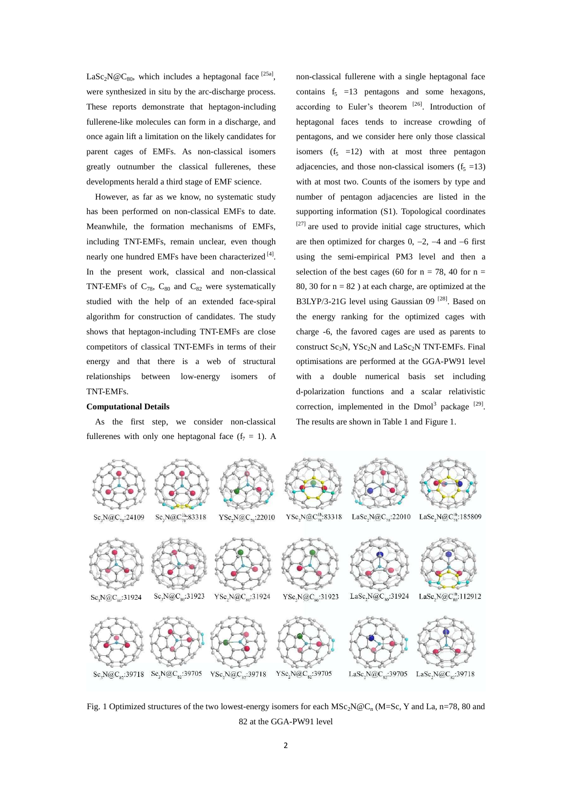$\text{LaSc}_2\text{N@C}_{80}$ , which includes a heptagonal face <sup>[25a]</sup>, were synthesized in situ by the arc-discharge process. These reports demonstrate that heptagon-including fullerene-like molecules can form in a discharge, and once again lift a limitation on the likely candidates for parent cages of EMFs. As non-classical isomers greatly outnumber the classical fullerenes, these developments herald a third stage of EMF science.

However, as far as we know, no systematic study has been performed on non-classical EMFs to date. Meanwhile, the formation mechanisms of EMFs, including TNT-EMFs, remain unclear, even though nearly one hundred EMFs have been characterized [4]. In the present work, classical and non-classical TNT-EMFs of  $C_{78}$ ,  $C_{80}$  and  $C_{82}$  were systematically studied with the help of an extended face-spiral algorithm for construction of candidates. The study shows that heptagon-including TNT-EMFs are close competitors of classical TNT-EMFs in terms of their energy and that there is a web of structural relationships between low-energy isomers of TNT-EMFs.

# non-classical fullerene with a single heptagonal face contains  $f_5 = 13$  pentagons and some hexagons, according to Euler's theorem [26]. Introduction of heptagonal faces tends to increase crowding of pentagons, and we consider here only those classical isomers  $(f<sub>5</sub> = 12)$  with at most three pentagon adjacencies, and those non-classical isomers  $(f<sub>5</sub> = 13)$ with at most two. Counts of the isomers by type and number of pentagon adjacencies are listed in the supporting information (S1). Topological coordinates [27] are used to provide initial cage structures, which are then optimized for charges  $0, -2, -4$  and  $-6$  first using the semi-empirical PM3 level and then a selection of the best cages (60 for  $n = 78$ , 40 for  $n =$ 80, 30 for  $n = 82$ ) at each charge, are optimized at the B3LYP/3-21G level using Gaussian 09<sup>[28]</sup>. Based on the energy ranking for the optimized cages with charge -6, the favored cages are used as parents to construct  $Sc_3N$ ,  $YSc_2N$  and  $LaSc_2N$  TNT-EMFs. Final optimisations are performed at the GGA-PW91 level with a double numerical basis set including d-polarization functions and a scalar relativistic correction, implemented in the Dmol<sup>3</sup> package  $[29]$ . The results are shown in Table 1 and Figure 1.

#### **Computational Details**

As the first step, we consider non-classical fullerenes with only one heptagonal face  $(f_7 = 1)$ . A



Fig. 1 Optimized structures of the two lowest-energy isomers for each  $MSc_2N@C_n(M=Sc, Y$  and La, n=78, 80 and 82 at the GGA-PW91 level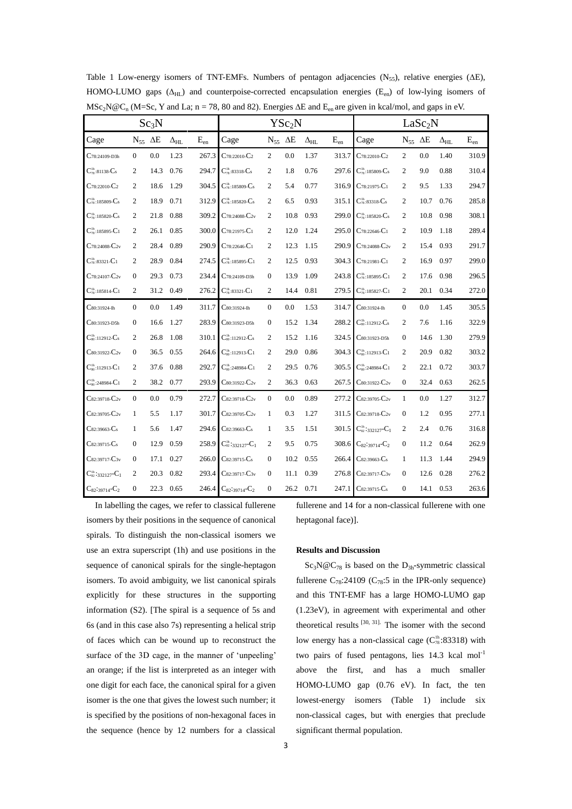|                                          |                     | YSc <sub>2</sub> N |                   |          |                                            |                     | LaSc <sub>2</sub> N |                   |          |                                                                       |                     |      |                   |          |
|------------------------------------------|---------------------|--------------------|-------------------|----------|--------------------------------------------|---------------------|---------------------|-------------------|----------|-----------------------------------------------------------------------|---------------------|------|-------------------|----------|
| Cage                                     | $N_{55}$ $\Delta E$ |                    | $\Delta_{\rm HL}$ | $E_{en}$ | Cage                                       | $N_{55}$ $\Delta E$ |                     | $\Delta_{\rm HL}$ | $E_{en}$ | Cage                                                                  | $N_{55}$ $\Delta E$ |      | $\Delta_{\rm HL}$ | $E_{en}$ |
| $C$ 78:24109-D3h                         | $\overline{0}$      | 0.0                | 1.23              | 267.3    | $C_{78:22010}$ - $C_{2}$                   | 2                   | 0.0                 | 1.37              | 313.7    | $C$ 78:22010- $C$ 2                                                   | $\overline{c}$      | 0.0  | 1.40              | 310.9    |
| $C_{78}^{1h}$ :81138- $C_{5}$            | $\overline{c}$      | 14.3               | 0.76              | 294.7    | $C_{78}^{1h}$ :83318- $C_8$                | $\overline{2}$      | 1.8                 | 0.76              | 297.6    | $\mathbf{C}^{\text{1h}}_{\text{78}:185809\text{-}\mathbf{C}_\text{S}$ | $\overline{2}$      | 9.0  | 0.88              | 310.4    |
| $C_{78:22010}$ - $C_{2}$                 | $\overline{c}$      | 18.6               | 1.29              | 304.5    | $C_{78}^{1h}$ :185809- $C_8$               | $\overline{2}$      | 5.4                 | 0.77              | 316.9    | $C_{78:21975}$ -C <sub>1</sub>                                        | 2                   | 9.5  | 1.33              | 294.7    |
| $C_{78}^{1h}$ :185809- $C_8$             | $\overline{c}$      | 18.9               | 0.71              | 312.9    | $C_{78}^{1h}$ :185820- $C_8$               | $\mathbf{2}$        | 6.5                 | 0.93              | 315.1    | $C_{78}^{1h}$ :83318- $C_5$                                           | $\overline{2}$      | 10.7 | 0.76              | 285.8    |
| $C_{78}^{1h}$ :185820- $C_s$             | $\overline{c}$      | 21.8               | 0.88              | 309.2    | $C$ 78:24088- $C$ 2v                       | $\mathbf{2}$        | 10.8                | 0.93              | 299.0    | $C_{78}^{1h}$ :185820- $C_s$                                          | $\overline{c}$      | 10.8 | 0.98              | 308.1    |
| $C_{78}^{1h}$ :185895- $C_1$             | $\overline{c}$      | 26.1               | 0.85              | 300.0    | $C_{78:21975}C_1$                          | $\overline{2}$      | 12.0                | 1.24              | 295.0    | $C$ 78:22646- $C$ 1                                                   | $\overline{2}$      | 10.9 | 1.18              | 289.4    |
| $\mathbf{C}$ 78:24088- $\mathbf{C}_{2v}$ | 2                   | 28.4               | 0.89              | 290.9    | $C$ 78:22646- $C$ 1                        | $\overline{2}$      | 12.3                | 1.15              | 290.9    | $C$ 78:24088- $C_{2v}$                                                | 2                   | 15.4 | 0.93              | 291.7    |
| $C_{\text{78}}^{\text{1h}}$ :83321-C1    | 2                   | 28.9               | 0.84              | 274.5    | $C_{78}^{1h}$ :185895- $C_1$               | $\overline{c}$      | 12.5                | 0.93              | 304.3    | $C_{78:21981}C_1$                                                     | $\overline{c}$      | 16.9 | 0.97              | 299.0    |
| $C_{78:24107}C_{2v}$                     | $\Omega$            | 29.3               | 0.73              | 234.4    | $C$ 78:24109-D3h                           | $\mathbf{0}$        | 13.9                | 1.09              | 243.8    | $C_{78}^{1h}$ :185895- $C_1$                                          | 2                   | 17.6 | 0.98              | 296.5    |
| $C_{78}:185814-C1$                       | 2                   | 31.2               | 0.49              | 276.2    | $C_{78}^{1h}$ :83321-C1                    | $\overline{c}$      | 14.4                | 0.81              | 279.5    | $C_{78}:185827-C1$                                                    | $\overline{c}$      | 20.1 | 0.34              | 272.0    |
| $C_{80:31924\text{-}Ih}$                 | $\overline{0}$      | 0.0                | 1.49              | 311.7    | C80:31924-Ih                               | $\overline{0}$      | 0.0                 | 1.53              | 314.7    | C80:31924-Ih                                                          | $\mathbf{0}$        | 0.0  | 1.45              | 305.5    |
| $C_{80:31923-D5h}$                       | $\overline{0}$      | 16.6               | 1.27              | 283.9    | C80:31923-D5h                              | $\mathbf{0}$        | 15.2                | 1.34              | 288.2    | $C_{so}^{1h}$ :112912- $C_s$                                          | 2                   | 7.6  | 1.16              | 322.9    |
| $C_{80}^{1h}$ :112912- $C_{8}$           | 2                   | 26.8               | 1.08              | 310.1    | $C_{\rm so}^{\rm 1h}$ :112912- $C_{\rm s}$ | 2                   | 15.2                | 1.16              | 324.5    | C80:31923-D5h                                                         | $\mathbf{0}$        | 14.6 | 1.30              | 279.9    |
| $C_{80:31922} - C_{2v}$                  | $\overline{0}$      | 36.5               | 0.55              | 264.6    | $C_{80}^{1h}$ :112913- $C_1$               | 2                   | 29.0                | 0.86              | 304.3    | $C_{80}^{1h}$ :112913- $C_1$                                          | 2                   | 20.9 | 0.82              | 303.2    |
| $C_{80}^{1h}$ :112913- $C_1$             | 2                   | 37.6               | 0.88              | 292.7    | $C_{80}^{1h}$ :248984- $C_1$               | 2                   | 29.5                | 0.76              | 305.5    | $C_{80}^{1h}$ :248984- $C_1$                                          | 2                   | 22.1 | 0.72              | 303.7    |
| $C_{80}^{1h}$ :248984- $C_1$             | $\overline{c}$      | 38.2               | 0.77              | 293.9    | $C_{80:31922} - C_{2v}$                    | $\overline{c}$      | 36.3                | 0.63              | 267.5    | $C_{80:31922}C_{2v}$                                                  | $\boldsymbol{0}$    | 32.4 | 0.63              | 262.5    |
| $C_{82:39718}C_{2v}$                     | $\overline{0}$      | 0.0                | 0.79              | 272.7    | C82:39718-C2v                              | $\boldsymbol{0}$    | 0.0                 | 0.89              | 277.2    | $C_{82:39705}$ - $C_{2v}$                                             | $\mathbf{1}$        | 0.0  | 1.27              | 312.7    |
| $Cs2:39705-C2v$                          | $\mathbf{1}$        | 5.5                | 1.17              | 301.7    | $C_{82:39705}C_{2v}$                       | $\mathbf{1}$        | 0.3                 | 1.27              | 311.5    | $C_{82:39718}C_{2v}$                                                  | $\mathbf{0}$        | 1.2  | 0.95              | 277.1    |
| $Cs2:39663-Cs$                           | 1                   | 5.6                | 1.47              | 294.6    | $Cs2:39663-Cs$                             | $\mathbf{1}$        | 3.5                 | 1.51              | 301.5    | $C_{82}^{1h}$ : 332127- $C_1$                                         | 2                   | 2.4  | 0.76              | 316.8    |
| $Cs2:39715-Cs$                           | $\overline{0}$      | 12.9               | 0.59              | 258.9    | $C^{\text{1h}}_{82}$ :332127- $C_1$        | $\mathbf{2}$        | 9.5                 | 0.75              | 308.6    | $C_{82}:39714-C_2$                                                    | $\boldsymbol{0}$    | 11.2 | 0.64              | 262.9    |
| C82:39717-C3v                            | $\mathbf{0}$        | 17.1               | 0.27              | 266.0    | $Cs2:39715-Cs$                             | $\boldsymbol{0}$    | 10.2                | 0.55              | 266.4    | $C_{82:39663}$ - $C_s$                                                | 1                   | 11.3 | 1.44              | 294.9    |
| $C_{82}^{1h}$ : 332127- $C_1$            | 2                   | 20.3               | 0.82              | 293.4    | C82:39717-C3v                              | $\boldsymbol{0}$    | 11.1                | 0.39              | 276.8    | $C_{82:39717}C_{3v}$                                                  | $\mathbf{0}$        | 12.6 | 0.28              | 276.2    |
| $C_{82}:39714-C_2$                       | $\boldsymbol{0}$    | 22.3               | 0.65              | 246.4    | $C_{82}:39714-C_2$                         | $\boldsymbol{0}$    | 26.2                | 0.71              | 247.1    | $C_{82:39715}$ - $C_s$                                                | $\boldsymbol{0}$    | 14.1 | 0.53              | 263.6    |

Table 1 Low-energy isomers of TNT-EMFs. Numbers of pentagon adjacencies (N<sub>55</sub>), relative energies ( $\Delta E$ ), HOMO-LUMO gaps  $(\Delta_{HI})$  and counterpoise-corrected encapsulation energies (E<sub>en</sub>) of low-lying isomers of  $\text{MSc}_2\text{N@C}_n$  (M=Sc, Y and La; n = 78, 80 and 82). Energies  $\Delta E$  and  $E_{en}$  are given in kcal/mol, and gaps in eV.

In labelling the cages, we refer to classical fullerene isomers by their positions in the sequence of canonical spirals. To distinguish the non-classical isomers we use an extra superscript (1h) and use positions in the sequence of canonical spirals for the single-heptagon isomers. To avoid ambiguity, we list canonical spirals explicitly for these structures in the supporting information (S2). [The spiral is a sequence of 5s and 6s (and in this case also 7s) representing a helical strip of faces which can be wound up to reconstruct the surface of the 3D cage, in the manner of 'unpeeling' an orange; if the list is interpreted as an integer with one digit for each face, the canonical spiral for a given isomer is the one that gives the lowest such number; it is specified by the positions of non-hexagonal faces in the sequence (hence by 12 numbers for a classical

fullerene and 14 for a non-classical fullerene with one heptagonal face)].

### **Results and Discussion**

 $Sc_3N@C_{78}$  is based on the  $D_{3h}$ -symmetric classical fullerene  $C_{78}$ :24109 ( $C_{78}$ :5 in the IPR-only sequence) and this TNT-EMF has a large HOMO-LUMO gap (1.23eV), in agreement with experimental and other theoretical results  $[30, 31]$ . The isomer with the second low energy has a non-classical cage  $(C_{78}^{th} : 83318)$  with two pairs of fused pentagons, lies 14.3 kcal mol<sup>-1</sup> above the first, and has a much smaller HOMO-LUMO gap (0.76 eV). In fact, the ten lowest-energy isomers (Table 1) include six non-classical cages, but with energies that preclude significant thermal population.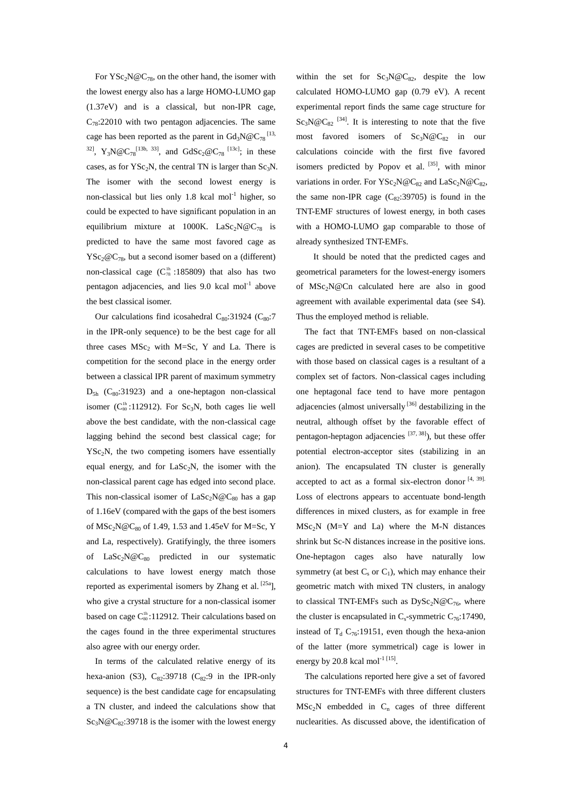For  $YSc_2N@C_{78}$ , on the other hand, the isomer with the lowest energy also has a large HOMO-LUMO gap (1.37eV) and is a classical, but non-IPR cage,  $C_{78}$ :22010 with two pentagon adjacencies. The same cage has been reported as the parent in  $Gd_3N@C_{78}^{113}$ , <sup>32]</sup>, Y<sub>3</sub>N@C<sub>78</sub><sup>[13b, 33]</sup>, and GdSc<sub>2</sub>@C<sub>78</sub><sup>[13c]</sup>; in these cases, as for YSc<sub>2</sub>N, the central TN is larger than Sc<sub>3</sub>N. The isomer with the second lowest energy is non-classical but lies only  $1.8$  kcal mol<sup>-1</sup> higher, so could be expected to have significant population in an equilibrium mixture at 1000K. LaSc<sub>2</sub>N@C<sub>78</sub> is predicted to have the same most favored cage as  $YSc_2@C_{78}$ , but a second isomer based on a (different) non-classical cage  $(C_{78}^{1h} : 185809)$  that also has two pentagon adjacencies, and lies  $9.0$  kcal mol $^{-1}$  above the best classical isomer.

Our calculations find icosahedral  $C_{80}:31924$  ( $C_{80}:7$ in the IPR-only sequence) to be the best cage for all three cases  $MSc_2$  with M=Sc, Y and La. There is competition for the second place in the energy order between a classical IPR parent of maximum symmetry  $D_{5h}$  (C<sub>80</sub>:31923) and a one-heptagon non-classical isomer ( $C_{80}^{1h}$ :112912). For Sc<sub>3</sub>N, both cages lie well above the best candidate, with the non-classical cage lagging behind the second best classical cage; for  $YSc<sub>2</sub>N$ , the two competing isomers have essentially equal energy, and for  $\text{LaSc}_2N$ , the isomer with the non-classical parent cage has edged into second place. This non-classical isomer of  $LaSc<sub>2</sub>N@C<sub>80</sub>$  has a gap of 1.16eV (compared with the gaps of the best isomers of  $MSc_2N@C_{80}$  of 1.49, 1.53 and 1.45eV for M=Sc, Y and La, respectively). Gratifyingly, the three isomers of  $\text{LaSc}_2\text{N@C}_{80}$  predicted in our systematic calculations to have lowest energy match those reported as experimental isomers by Zhang et al.  $[25a]$ , who give a crystal structure for a non-classical isomer based on cage  $C_{80}^{1h}$ :112912. Their calculations based on the cages found in the three experimental structures also agree with our energy order.

In terms of the calculated relative energy of its hexa-anion (S3),  $C_{82}$ :39718 ( $C_{82}$ :9 in the IPR-only sequence) is the best candidate cage for encapsulating a TN cluster, and indeed the calculations show that  $Sc<sub>3</sub>N@C<sub>82</sub>:39718$  is the isomer with the lowest energy within the set for  $Sc_3N@C_{82}$ , despite the low calculated HOMO-LUMO gap (0.79 eV). A recent experimental report finds the same cage structure for  $Sc_3N@C_{82}$  [34]. It is interesting to note that the five most favored isomers of  $Sc_3N@C_{82}$  in our calculations coincide with the first five favored isomers predicted by Popov et al.  $[35]$ , with minor variations in order. For  $YSc_2N@C_{82}$  and  $LaSc_2N@C_{82}$ , the same non-IPR cage  $(C_{82}:39705)$  is found in the TNT-EMF structures of lowest energy, in both cases with a HOMO-LUMO gap comparable to those of already synthesized TNT-EMFs.

It should be noted that the predicted cages and geometrical parameters for the lowest-energy isomers of MSc2N@Cn calculated here are also in good agreement with available experimental data (see S4). Thus the employed method is reliable.

The fact that TNT-EMFs based on non-classical cages are predicted in several cases to be competitive with those based on classical cages is a resultant of a complex set of factors. Non-classical cages including one heptagonal face tend to have more pentagon adjacencies (almost universally<sup>[36]</sup> destabilizing in the neutral, although offset by the favorable effect of pentagon-heptagon adjacencies  $[37, 38]$ , but these offer potential electron-acceptor sites (stabilizing in an anion). The encapsulated TN cluster is generally accepted to act as a formal six-electron donor  $[4, 39]$ . Loss of electrons appears to accentuate bond-length differences in mixed clusters, as for example in free  $MSc<sub>2</sub>N$  (M=Y and La) where the M-N distances shrink but Sc-N distances increase in the positive ions. One-heptagon cages also have naturally low symmetry (at best  $C_s$  or  $C_1$ ), which may enhance their geometric match with mixed TN clusters, in analogy to classical TNT-EMFs such as  $DySc<sub>2</sub>N@C<sub>76</sub>$ , where the cluster is encapsulated in  $C_s$ -symmetric  $C_{76}:17490$ , instead of  $T_d$  C<sub>76</sub>:19151, even though the hexa-anion of the latter (more symmetrical) cage is lower in energy by 20.8 kcal mol<sup>-1 [15]</sup>.

 The calculations reported here give a set of favored structures for TNT-EMFs with three different clusters  $MSc<sub>2</sub>N$  embedded in C<sub>n</sub> cages of three different nuclearities. As discussed above, the identification of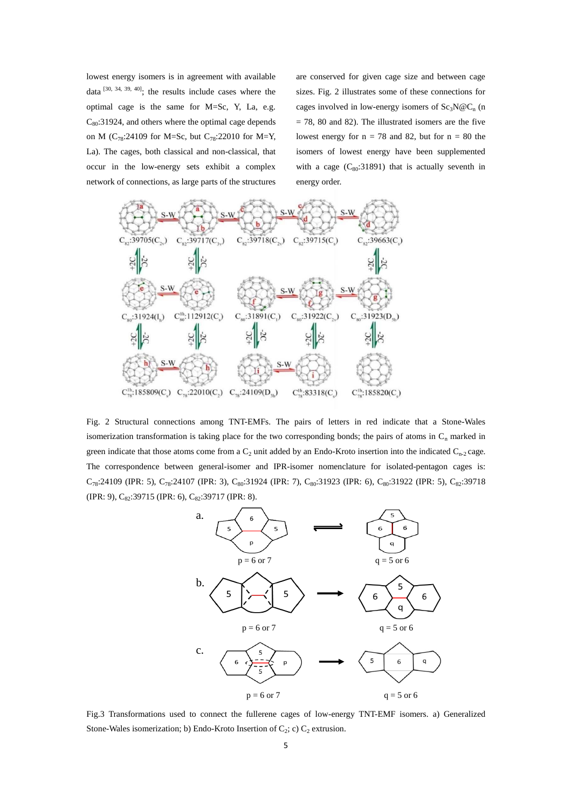lowest energy isomers is in agreement with available data  $[30, 34, 39, 40]$ ; the results include cases where the optimal cage is the same for M=Sc, Y, La, e.g.  $C_{80}$ :31924, and others where the optimal cage depends on M ( $C_{78}$ :24109 for M=Sc, but  $C_{78}$ :22010 for M=Y, La). The cages, both classical and non-classical, that occur in the low-energy sets exhibit a complex network of connections, as large parts of the structures

are conserved for given cage size and between cage sizes. Fig. 2 illustrates some of these connections for cages involved in low-energy isomers of  $Sc<sub>3</sub>N@C<sub>n</sub>$  (n  $= 78, 80$  and 82). The illustrated isomers are the five lowest energy for  $n = 78$  and 82, but for  $n = 80$  the isomers of lowest energy have been supplemented with a cage  $(C_{80}:31891)$  that is actually seventh in energy order.



Fig. 2 Structural connections among TNT-EMFs. The pairs of letters in red indicate that a Stone-Wales isomerization transformation is taking place for the two corresponding bonds; the pairs of atoms in  $C_n$  marked in green indicate that those atoms come from a  $C_2$  unit added by an Endo-Kroto insertion into the indicated  $C_{n-2}$  cage. The correspondence between general-isomer and IPR-isomer nomenclature for isolated-pentagon cages is:  $C_{78}:24109$  (IPR: 5),  $C_{78}:24107$  (IPR: 3),  $C_{80}:31924$  (IPR: 7),  $C_{80}:31923$  (IPR: 6),  $C_{80}:31922$  (IPR: 5),  $C_{82}:39718$ (IPR: 9), C<sub>82</sub>:39715 (IPR: 6), C<sub>82</sub>:39717 (IPR: 8).



Fig.3 Transformations used to connect the fullerene cages of low-energy TNT-EMF isomers. a) Generalized Stone-Wales isomerization; b) Endo-Kroto Insertion of  $C_2$ ; c)  $C_2$  extrusion.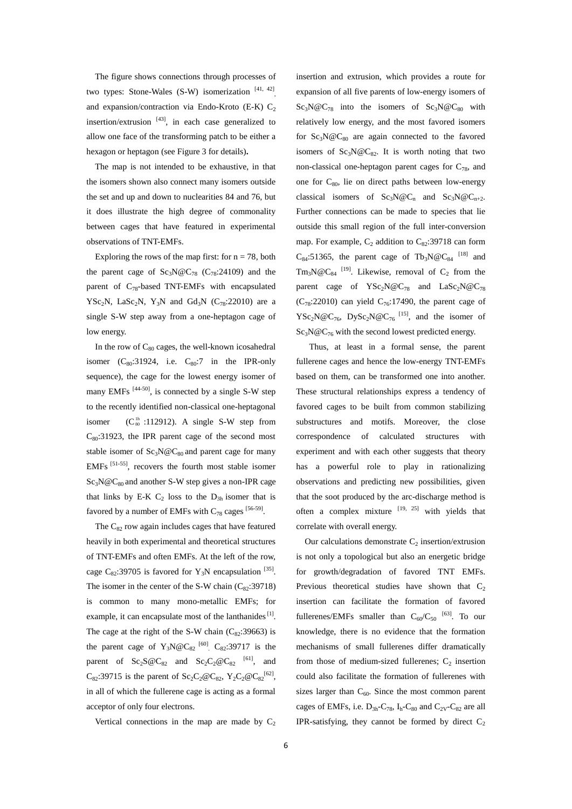The figure shows connections through processes of two types: Stone-Wales (S-W) isomerization  $[41, 42]$ and expansion/contraction via Endo-Kroto (E-K)  $C_2$ insertion/extrusion  $[43]$ , in each case generalized to allow one face of the transforming patch to be either a hexagon or heptagon (see Figure 3 for details)**.** 

The map is not intended to be exhaustive, in that the isomers shown also connect many isomers outside the set and up and down to nuclearities 84 and 76, but it does illustrate the high degree of commonality between cages that have featured in experimental observations of TNT-EMFs.

Exploring the rows of the map first: for  $n = 78$ , both the parent cage of  $Sc_3N@C_{78}$  (C<sub>78</sub>:24109) and the parent of  $C_{78}$ -based TNT-EMFs with encapsulated YSc<sub>2</sub>N, LaSc<sub>2</sub>N, Y<sub>3</sub>N and Gd<sub>3</sub>N (C<sub>78</sub>:22010) are a single S-W step away from a one-heptagon cage of low energy.

In the row of  $C_{80}$  cages, the well-known icosahedral isomer  $(C_{80}:31924$ , i.e.  $C_{80}:7$  in the IPR-only sequence), the cage for the lowest energy isomer of many EMFs<sup>[44-50]</sup>, is connected by a single S-W step to the recently identified non-classical one-heptagonal isomer  $(C_{80}^{1h}$  :112912). A single S-W step from  $C_{80}$ :31923, the IPR parent cage of the second most stable isomer of  $Sc_3N@C_{80}$  and parent cage for many EMFs [51-55], recovers the fourth most stable isomer  $Sc_3N@C_{80}$  and another S-W step gives a non-IPR cage that links by E-K  $C_2$  loss to the  $D_{3h}$  isomer that is favored by a number of EMFs with  $C_{78}$  cages [56-59].

The  $C_{82}$  row again includes cages that have featured heavily in both experimental and theoretical structures of TNT-EMFs and often EMFs. At the left of the row, cage  $C_{82}$ :39705 is favored for Y<sub>3</sub>N encapsulation <sup>[35]</sup>. The isomer in the center of the S-W chain  $(C_8, 39718)$ is common to many mono-metallic EMFs; for example, it can encapsulate most of the lanthanides [1]. The cage at the right of the S-W chain  $(C_{82}:39663)$  is the parent cage of  $Y_3N@C_{82}^{60}$   $C_{82}:39717$  is the parent of  $Sc_2S@C_{82}$  and  $Sc_2C_2@C_{82}$  <sup>[61]</sup>, and  $C_{82}$ :39715 is the parent of  $Sc_2C_2@C_{82}$ ,  $Y_2C_2@C_{82}^{[62]}$ , in all of which the fullerene cage is acting as a formal acceptor of only four electrons.

Vertical connections in the map are made by  $C_2$ 

insertion and extrusion, which provides a route for expansion of all five parents of low-energy isomers of  $Sc_3N@C_{78}$  into the isomers of  $Sc_3N@C_{80}$  with relatively low energy, and the most favored isomers for  $Sc_3N@C_{80}$  are again connected to the favored isomers of  $Sc_3N@C_{82}$ . It is worth noting that two non-classical one-heptagon parent cages for  $C_{78}$ , and one for  $C_{80}$ , lie on direct paths between low-energy classical isomers of  $Sc_3N@C_n$  and  $Sc_3N@C_{n+2}$ . Further connections can be made to species that lie outside this small region of the full inter-conversion map. For example,  $C_2$  addition to  $C_{82}$ :39718 can form  $C_{84}$ :51365, the parent cage of Tb<sub>3</sub>N@C<sub>84</sub><sup>[18]</sup> and  $Tm_3N@C_{84}$  <sup>[19]</sup>. Likewise, removal of  $C_2$  from the parent cage of  $YSc_2N@C_{78}$  and  $LaSc_2N@C_{78}$  $(C_{78}:22010)$  can yield  $C_{76}:17490$ , the parent cage of YSc<sub>2</sub>N@C<sub>76</sub>, DySc<sub>2</sub>N@C<sub>76</sub><sup>[15]</sup>, and the isomer of  $Sc_3N@C_{76}$  with the second lowest predicted energy.

 Thus, at least in a formal sense, the parent fullerene cages and hence the low-energy TNT-EMFs based on them, can be transformed one into another. These structural relationships express a tendency of favored cages to be built from common stabilizing substructures and motifs. Moreover, the close correspondence of calculated structures with experiment and with each other suggests that theory has a powerful role to play in rationalizing observations and predicting new possibilities, given that the soot produced by the arc-discharge method is often a complex mixture  $[19, 25]$  with yields that correlate with overall energy.

Our calculations demonstrate  $C_2$  insertion/extrusion is not only a topological but also an energetic bridge for growth/degradation of favored TNT EMFs. Previous theoretical studies have shown that  $C_2$ insertion can facilitate the formation of favored fullerenes/EMFs smaller than  $C_{60}/C_{50}$  <sup>[63]</sup>. To our knowledge, there is no evidence that the formation mechanisms of small fullerenes differ dramatically from those of medium-sized fullerenes;  $C_2$  insertion could also facilitate the formation of fullerenes with sizes larger than  $C_{60}$ . Since the most common parent cages of EMFs, i.e.  $D_{3h}$ -C<sub>78</sub>,  $I_h$ -C<sub>80</sub> and C<sub>2V</sub>-C<sub>82</sub> are all IPR-satisfying, they cannot be formed by direct  $C_2$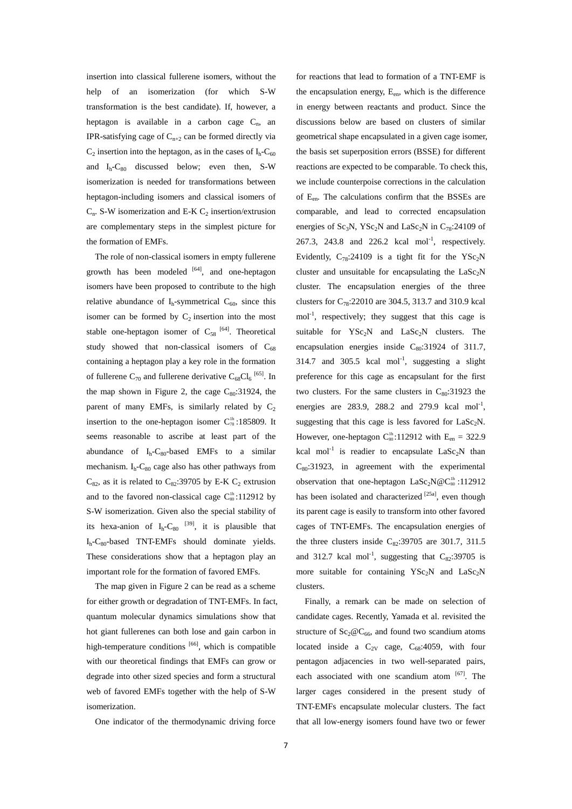insertion into classical fullerene isomers, without the help of an isomerization (for which S-W transformation is the best candidate). If, however, a heptagon is available in a carbon cage  $C_n$ , an IPR-satisfying cage of  $C_{n+2}$  can be formed directly via  $C_2$  insertion into the heptagon, as in the cases of  $I_h$ - $C_{60}$ and  $I_h$ - $C_{80}$  discussed below; even then, S-W isomerization is needed for transformations between heptagon-including isomers and classical isomers of  $C_n$ . S-W isomerization and E-K  $C_2$  insertion/extrusion are complementary steps in the simplest picture for the formation of EMFs.

The role of non-classical isomers in empty fullerene growth has been modeled [64], and one-heptagon isomers have been proposed to contribute to the high relative abundance of  $I_h$ -symmetrical  $C_{60}$ , since this isomer can be formed by  $C_2$  insertion into the most stable one-heptagon isomer of  $C_{58}$  [64]. Theoretical study showed that non-classical isomers of  $C_{68}$ containing a heptagon play a key role in the formation of fullerene  $C_{70}$  and fullerene derivative  $C_{68}Cl_6$ <sup>[65]</sup>. In the map shown in Figure 2, the cage  $C_{80}:31924$ , the parent of many EMFs, is similarly related by  $C_2$ insertion to the one-heptagon isomer  $C_{78}^{1h}$ :185809. It seems reasonable to ascribe at least part of the abundance of  $I_h$ -C<sub>80</sub>-based EMFs to a similar mechanism.  $I_h$ - $C_{80}$  cage also has other pathways from  $C_{82}$ , as it is related to  $C_{82}$ :39705 by E-K  $C_2$  extrusion and to the favored non-classical cage  $C_{\text{so}}^{\text{th}}$ :112912 by S-W isomerization. Given also the special stability of its hexa-anion of  $I_h-C_{80}$  <sup>[39]</sup>, it is plausible that  $I<sub>h</sub>-C<sub>80</sub>$ -based TNT-EMFs should dominate yields. These considerations show that a heptagon play an important role for the formation of favored EMFs.

The map given in Figure 2 can be read as a scheme for either growth or degradation of TNT-EMFs. In fact, quantum molecular dynamics simulations show that hot giant fullerenes can both lose and gain carbon in high-temperature conditions  $[66]$ , which is compatible with our theoretical findings that EMFs can grow or degrade into other sized species and form a structural web of favored EMFs together with the help of S-W isomerization.

One indicator of the thermodynamic driving force

for reactions that lead to formation of a TNT-EMF is the encapsulation energy,  $E_{en}$ , which is the difference in energy between reactants and product. Since the discussions below are based on clusters of similar geometrical shape encapsulated in a given cage isomer, the basis set superposition errors (BSSE) for different reactions are expected to be comparable. To check this, we include counterpoise corrections in the calculation of Een. The calculations confirm that the BSSEs are comparable, and lead to corrected encapsulation energies of Sc<sub>3</sub>N, YSc<sub>2</sub>N and LaSc<sub>2</sub>N in C<sub>78</sub>:24109 of 267.3, 243.8 and 226.2 kcal mol<sup>-1</sup>, respectively. Evidently,  $C_{78}$ :24109 is a tight fit for the YSc<sub>2</sub>N cluster and unsuitable for encapsulating the  $\text{LaSc}_2\text{N}$ cluster. The encapsulation energies of the three clusters for  $C_{78}$ :22010 are 304.5, 313.7 and 310.9 kcal  $mol<sup>-1</sup>$ , respectively; they suggest that this cage is suitable for  $YSc<sub>2</sub>N$  and  $LaSc<sub>2</sub>N$  clusters. The encapsulation energies inside  $C_{80}$ :31924 of 311.7, 314.7 and 305.5 kcal mol<sup>-1</sup>, suggesting a slight preference for this cage as encapsulant for the first two clusters. For the same clusters in  $C_{80}:31923$  the energies are 283.9, 288.2 and 279.9 kcal mol<sup>-1</sup>, suggesting that this cage is less favored for  $\text{LaSc}_2N$ . However, one-heptagon  $C_{80}^{th}$ :112912 with  $E_{en} = 322.9$ kcal mol<sup>-1</sup> is readier to encapsulate  $\text{LaSc}_2\text{N}$  than  $C_{80}$ :31923, in agreement with the experimental observation that one-heptagon  $\text{LaSc}_2N@C^{1h}_{80}$ :112912 has been isolated and characterized [25a], even though its parent cage is easily to transform into other favored cages of TNT-EMFs. The encapsulation energies of the three clusters inside  $C_{82}$ :39705 are 301.7, 311.5 and 312.7 kcal mol<sup>-1</sup>, suggesting that  $C_{82}$ :39705 is more suitable for containing  $YSc_2N$  and  $Las_2N$ clusters.

Finally, a remark can be made on selection of candidate cages. Recently, Yamada et al. revisited the structure of  $Sc_2@C_{66}$ , and found two scandium atoms located inside a  $C_{2V}$  cage,  $C_{68}:4059$ , with four pentagon adjacencies in two well-separated pairs, each associated with one scandium atom [67]. The larger cages considered in the present study of TNT-EMFs encapsulate molecular clusters. The fact that all low-energy isomers found have two or fewer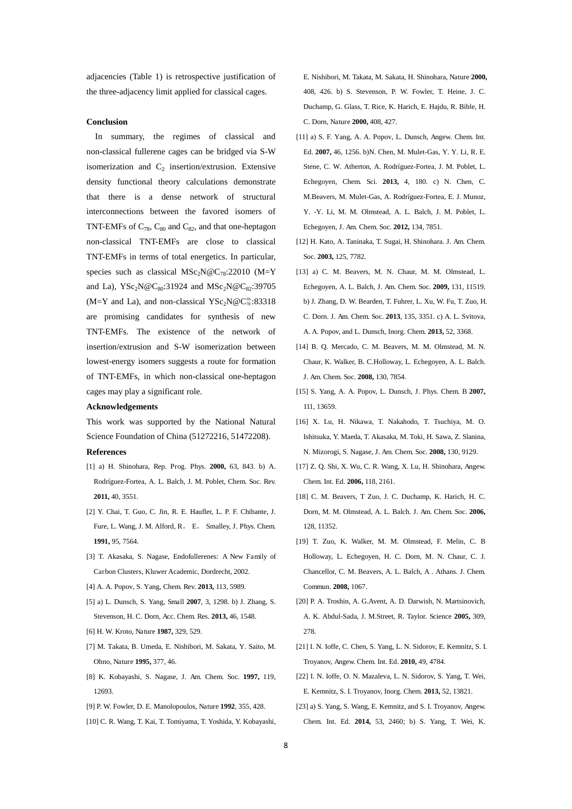adjacencies (Table 1) is retrospective justification of the three-adjacency limit applied for classical cages.

### **Conclusion**

In summary, the regimes of classical and non-classical fullerene cages can be bridged via S-W isomerization and  $C_2$  insertion/extrusion. Extensive density functional theory calculations demonstrate that there is a dense network of structural interconnections between the favored isomers of TNT-EMFs of  $C_{78}$ ,  $C_{80}$  and  $C_{82}$ , and that one-heptagon non-classical TNT-EMFs are close to classical TNT-EMFs in terms of total energetics. In particular, species such as classical  $MSc_2N@C_{78}:22010$  (M=Y and La),  $YSc_2N@C_{80}:31924$  and  $MSc_2N@C_{82}:39705$ (M=Y and La), and non-classical  $YSc_2N@C^{1h}_{78} : 83318$ are promising candidates for synthesis of new TNT-EMFs. The existence of the network of insertion/extrusion and S-W isomerization between lowest-energy isomers suggests a route for formation of TNT-EMFs, in which non-classical one-heptagon cages may play a significant role.

### **Acknowledgements**

This work was supported by the National Natural Science Foundation of China (51272216, 51472208).

#### **References**

- [1] a) H. Shinohara, Rep. Prog. Phys. **2000,** 63, 843. b) A. Rodríguez-Fortea, A. L. Balch, J. M. Poblet, Chem. Soc. Rev. **2011,** 40, 3551.
- [2] Y. Chai, T. Guo, C. Jin, R. E. Haufler, L. P. F. Chibante, J. Fure, L. Wang, J. M. Alford, R. E. Smalley, J. Phys. Chem. **1991,** 95, 7564.
- [3] T. Akasaka, S. Nagase, Endofullerenes: A New Family of Carbon Clusters, Kluwer Academic, Dordrecht, 2002.
- [4] A. A. Popov, S. Yang, Chem. Rev. **2013,** 113, 5989.
- [5] a) L. Dunsch, S. Yang, Small **2007**, 3, 1298. b) J. Zhang, S. Stevenson, H. C. Dorn, Acc. Chem. Res. **2013,** 46, 1548.
- [6] H. W. Kroto, Nature **1987,** 329, 529.
- [7] M. Takata, B. Umeda, E. Nishibori, M. Sakata, Y. Saito, M. Ohno, Nature **1995,** 377, 46.
- [8] K. Kobayashi, S. Nagase, J. Am. Chem. Soc. **1997,** 119, 12693.
- [9] P. W. Fowler, D. E. Manolopoulos, Nature **1992**, 355, 428.
- [10] C. R. Wang, T. Kai, T. Tomiyama, T. Yoshida, Y. Kobayashi,

E. Nishibori, M. Takata, M. Sakata, H. Shinohara, Nature **2000,**  408, 426. b) S. Stevenson, P. W. Fowler, T. Heine, J. C. Duchamp, G. Glass, T. Rice, K. Harich, E. Hajdu, R. Bible, H. C. Dorn, Nature **2000,** 408, 427.

- [11] a) S. F. Yang, A. A. Popov, L. Dunsch, Angew. Chem. Int. Ed. **2007,** 46, 1256. b)N. Chen, M. Mulet-Gas, Y. Y. Li, R. E. Stene, C. W. Atherton, A. Rodríguez-Fortea, J. M. Poblet, L. Echegoyen, Chem. Sci. **2013,** 4, 180. c) N. Chen, C. M.Beavers, M. Mulet-Gas, A. Rodríguez-Fortea, E. J. Munoz, Y. -Y. Li, M. M. Olmstead, A. L. Balch, J. M. Poblet, L. Echegoyen, J. Am. Chem. Soc. **2012,** 134, 7851.
- [12] H. Kato, A. Taninaka, T. Sugai, H. Shinohara. J. Am. Chem. Soc. **2003,** 125, 7782.
- [13] a) C. M. Beavers, M. N. Chaur, M. M. Olmstead, L. Echegoyen, A. L. Balch, J. Am. Chem. Soc. **2009,** 131, 11519. b) J. Zhang, D. W. Bearden, T. Fuhrer, L. Xu, W. Fu, T. Zuo, H. C. Dorn. J. Am. Chem. Soc. **2013**, 135, 3351. c) A. L. Svitova, A. A. Popov, and L. Dunsch, Inorg. Chem. **2013,** 52, 3368.
- [14] B. Q. Mercado, C. M. Beavers, M. M. Olmstead, M. N. Chaur, K. Walker, B. C.Holloway, L. Echegoyen, A. L. Balch. J. Am. Chem. Soc. **2008,** 130, 7854.
- [15] S. Yang, A. A. Popov, L. Dunsch, J. Phys. Chem. B **2007,**  111, 13659.
- [16] X. Lu, H. Nikawa, T. Nakahodo, T. Tsuchiya, M. O. Ishitsuka, Y. Maeda, T. Akasaka, M. Toki, H. Sawa, Z. Slanina, N. Mizorogi, S. Nagase, J. Am. Chem. Soc. **2008,** 130, 9129.
- [17] Z. Q. Shi, X. Wu, C. R. Wang, X. Lu, H. Shinohara, Angew. Chem. Int. Ed. **2006,** 118, 2161.
- [18] C. M. Beavers, T Zuo, J. C. Duchamp, K. Harich, H. C. Dorn, M. M. Olmstead, A. L. Balch. J. Am. Chem. Soc. **2006,**  128, 11352.
- [19] T. Zuo, K. Walker, M. M. Olmstead, F. Melin, C. B Holloway, L. Echegoyen, H. C. Dorn, M. N. Chaur, C. J. Chancellor, C. M. Beavers, A. L. Balch, A . Athans. J. Chem. Commun. **2008,** 1067.
- [20] P. A. Troshin, A. G.Avent, A. D. Darwish, N. Martsinovich, A. K. Abdul-Sada, J. M.Street, R. Taylor. Science **2005,** 309, 278.
- [21] I. N. Ioffe, C. Chen, S. Yang, L. N. Sidorov, E. Kemnitz, S. I. Troyanov, Angew. Chem. Int. Ed. **2010,** 49, 4784.
- [22] I. N. Ioffe, O. N. Mazaleva, L. N. Sidorov, S. Yang, T. Wei, E. Kemnitz, S. I. Troyanov, Inorg. Chem. **2013,** 52, 13821.
- [23] a) S. Yang, S. Wang, E. Kemnitz, and S. I. Troyanov, Angew. Chem. Int. Ed. **2014,** 53, 2460; b) S. Yang, T. Wei, K.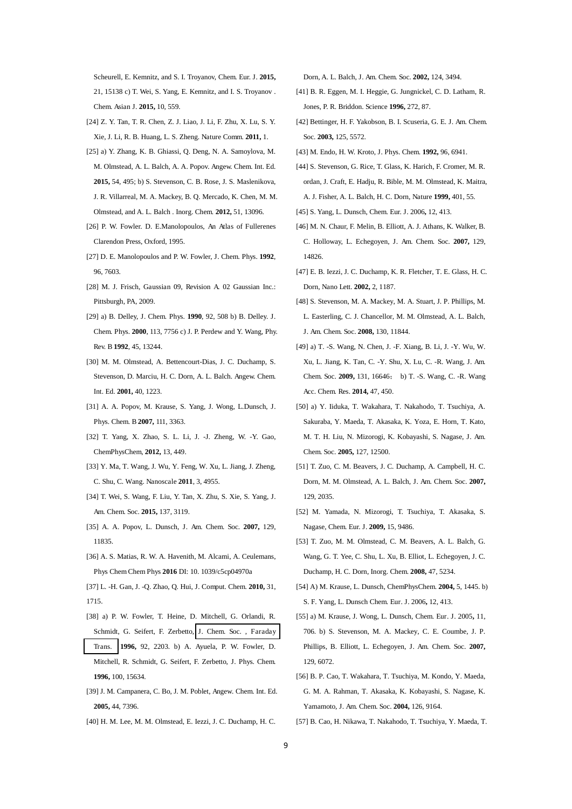Scheurell, E. Kemnitz, and S. I. Troyanov, Chem. Eur. J. **2015,**  21, 15138 c) T. Wei, S. Yang, E. Kemnitz, and I. S. Troyanov . Chem. Asian J. **2015,** 10, 559.

- [24] Z. Y. Tan, T. R. Chen, Z. J. Liao, J. Li, F. Zhu, X. Lu, S. Y. Xie, J. Li, R. B. Huang, L. S. Zheng. Nature Comm. **2011,** 1.
- [25] a) Y. Zhang, K. B. Ghiassi, Q. Deng, N. A. Samoylova, M. M. Olmstead, A. L. Balch, A. A. Popov. Angew. Chem. Int. Ed. **2015,** 54, 495; b) S. Stevenson, C. B. Rose, J. S. Maslenikova, J. R. Villarreal, M. A. Mackey, B. Q. Mercado, K. Chen, M. M. Olmstead, and A. L. Balch . Inorg. Chem. **2012,** 51, 13096.
- [26] P. W. Fowler. D. E.Manolopoulos, An Atlas of Fullerenes Clarendon Press, Oxford, 1995.
- [27] D. E. Manolopoulos and P. W. Fowler, J. Chem. Phys. **1992**, 96, 7603.
- [28] M. J. Frisch, Gaussian 09, Revision A. 02 Gaussian Inc.: Pittsburgh, PA, 2009.
- [29] a) B. Delley, J. Chem. Phys. **1990**, 92, 508 b) B. Delley. J. Chem. Phys. **2000**, 113, 7756 c) J. P. Perdew and Y. Wang, Phy. Rev. B **1992**, 45, 13244.
- [30] M. M. Olmstead, A. Bettencourt-Dias, J. C. Duchamp, S. Stevenson, D. Marciu, H. C. Dorn, A. L. Balch. Angew. Chem. Int. Ed. **2001,** 40, 1223.
- [31] A. A. Popov, M. Krause, S. Yang, J. Wong, L.Dunsch, J. Phys. Chem. B **2007,** 111, 3363.
- [32] T. Yang, X. Zhao, S. L. Li, J. -J. Zheng, W. -Y. Gao, ChemPhysChem, **2012,** 13, 449.
- [33] Y. Ma, T. Wang, J. Wu, Y. Feng, W. Xu, L. Jiang, J. Zheng, C. Shu, C. Wang. Nanoscale **2011**, 3, 4955.
- [34] T. Wei, S. Wang, F. Liu, Y. Tan, X. Zhu, S. Xie, S. Yang, J. Am. Chem. Soc. **2015,** 137, 3119.
- [35] A. A. Popov, L. Dunsch, J. Am. Chem. Soc. **2007,** 129, 11835.
- [36] A. S. Matias, R. W. A. Havenith, M. Alcami, A. Ceulemans, Phys Chem Chem Phys **2016** DI: 10. 1039/c5cp04970a

[37] L. -H. Gan, J. -Q. Zhao, Q. Hui, J. Comput. Chem. **2010,** 31, 1715.

- [38] a) P. W. Fowler, T. Heine, D. Mitchell, G. Orlandi, R. Schmidt, G. Seifert, F. Zerbetto, [J. Chem. Soc. , Faraday](http://dx.doi.org/10.1039/1364-5455/1990)  [Trans.](http://dx.doi.org/10.1039/1364-5455/1990) **1996,** 92, 2203. b) A. Ayuela, P. W. Fowler, D. Mitchell, R. Schmidt, G. Seifert, F. Zerbetto, J. Phys. Chem. **1996,** 100, 15634.
- [39] J. M. Campanera, C. Bo, J. M. Poblet, Angew. Chem. Int. Ed. **2005,** 44, 7396.
- [40] H. M. Lee, M. M. Olmstead, E. Iezzi, J. C. Duchamp, H. C.

Dorn, A. L. Balch, J. Am. Chem. Soc. **2002,** 124, 3494.

- [41] B. R. Eggen, M. I. Heggie, G. Jungnickel, C. D. Latham, R. Jones, P. R. Briddon. Science **1996,** 272, 87.
- [42] Bettinger, H. F. Yakobson, B. I. Scuseria, G. E. J. Am. Chem. Soc. **2003,** 125, 5572.
- [43] M. Endo, H. W. Kroto, J. Phys. Chem. **1992,** 96, 6941.
- [44] S. Stevenson, G. Rice, T. Glass, K. Harich, F. Cromer, M. R. ordan, J. Craft, E. Hadju, R. Bible, M. M. Olmstead, K. Maitra, A. J. Fisher, A. L. Balch, H. C. Dorn, Nature **1999,** 401, 55.
- [45] S. Yang, L. Dunsch, Chem. Eur. J. 2006**,** 12, 413.
- [46] M. N. Chaur, F. Melin, B. Elliott, A. J. Athans, K. Walker, B. C. Holloway, L. Echegoyen, J. Am. Chem. Soc. **2007,** 129, 14826.
- [47] E. B. Iezzi, J. C. Duchamp, K. R. Fletcher, T. E. Glass, H. C. Dorn, Nano Lett. **2002,** 2, 1187.
- [48] S. Stevenson, M. A. Mackey, M. A. Stuart, J. P. Phillips, M. L. Easterling, C. J. Chancellor, M. M. Olmstead, A. L. Balch, J. Am. Chem. Soc. **2008,** 130, 11844.
- [49] a) T. -S. Wang, N. Chen, J. -F. Xiang, B. Li, J. -Y. Wu, W. Xu, L. Jiang, K. Tan, C. -Y. Shu, X. Lu, C. -R. Wang, J. Am. Chem. Soc. 2009, 131, 16646; b) T. -S. Wang, C. -R. Wang Acc. Chem. Res. **2014,** 47, 450.
- [50] a) Y. Iiduka, T. Wakahara, T. Nakahodo, T. Tsuchiya, A. Sakuraba, Y. Maeda, T. Akasaka, K. Yoza, E. Horn, T. Kato, M. T. H. Liu, N. Mizorogi, K. Kobayashi, S. Nagase, J. Am. Chem. Soc. **2005,** 127, 12500.
- [51] T. Zuo, C. M. Beavers, J. C. Duchamp, A. Campbell, H. C. Dorn, M. M. Olmstead, A. L. Balch, J. Am. Chem. Soc. **2007,**  129, 2035.
- [52] M. Yamada, N. Mizorogi, T. Tsuchiya, T. Akasaka, S. Nagase, Chem. Eur. J. **2009,** 15, 9486.
- [53] T. Zuo, M. M. Olmstead, C. M. Beavers, A. L. Balch, G. Wang, G. T. Yee, C. Shu, L. Xu, B. Elliot, L. Echegoyen, J. C. Duchamp, H. C. Dorn, Inorg. Chem. **2008,** 47, 5234.
- [54] A) M. Krause, L. Dunsch, ChemPhysChem. **2004,** 5, 1445. b) S. F. Yang, L. Dunsch Chem. Eur. J. 2006**,** 12, 413.
- [55] a) M. Krause, J. Wong, L. Dunsch, Chem. Eur. J. 2005**,** 11, 706. b) S. Stevenson, M. A. Mackey, C. E. Coumbe, J. P. Phillips, B. Elliott, L. Echegoyen, J. Am. Chem. Soc. **2007,**  129, 6072.
- [56] B. P. Cao, T. Wakahara, T. Tsuchiya, M. Kondo, Y. Maeda, G. M. A. Rahman, T. Akasaka, K. Kobayashi, S. Nagase, K. Yamamoto, J. Am. Chem. Soc. **2004,** 126, 9164.
- [57] B. Cao, H. Nikawa, T. Nakahodo, T. Tsuchiya, Y. Maeda, T.